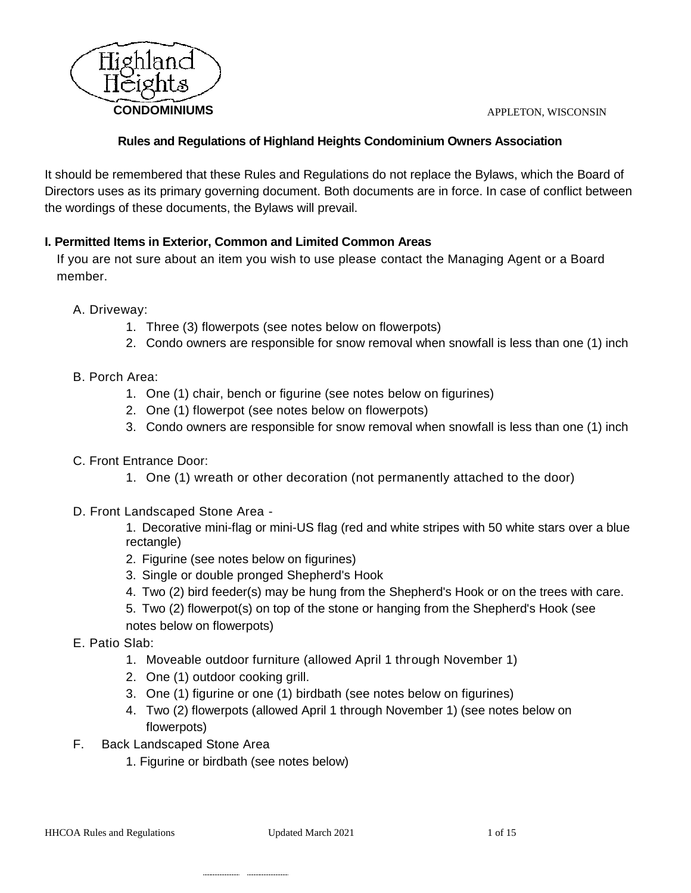

# **Rules and Regulations of Highland Heights Condominium Owners Association**

It should be remembered that these Rules and Regulations do not replace the Bylaws, which the Board of Directors uses as its primary governing document. Both documents are in force. In case of conflict between the wordings of these documents, the Bylaws will prevail.

# **I. Permitted Items in Exterior, Common and Limited Common Areas**

If you are not sure about an item you wish to use please contact the Managing Agent or a Board member.

A. Driveway:

- 1. Three (3) flowerpots (see notes below on flowerpots)
- 2. Condo owners are responsible for snow removal when snowfall is less than one (1) inch
- B. Porch Area:
	- 1. One (1) chair, bench or figurine (see notes below on figurines)
	- 2. One (1) flowerpot (see notes below on flowerpots)
	- 3. Condo owners are responsible for snow removal when snowfall is less than one (1) inch
- C. Front Entrance Door:
	- 1. One (1) wreath or other decoration (not permanently attached to the door)
- D. Front Landscaped Stone Area -

1. Decorative mini-flag or mini-US flag (red and white stripes with 50 white stars over a blue rectangle)

- 2. Figurine (see notes below on figurines)
- 3. Single or double pronged Shepherd's Hook
- 4. Two (2) bird feeder(s) may be hung from the Shepherd's Hook or on the trees with care.
- 5. Two (2) flowerpot(s) on top of the stone or hanging from the Shepherd's Hook (see notes below on flowerpots)
- E. Patio Slab:
	- 1. Moveable outdoor furniture (allowed April 1 through November 1)
	- 2. One (1) outdoor cooking grill.
	- 3. One (1) figurine or one (1) birdbath (see notes below on figurines)
	- 4. Two (2) flowerpots (allowed April 1 through November 1) (see notes below on flowerpots)
- F. Back Landscaped Stone Area
	- 1. Figurine or birdbath (see notes below)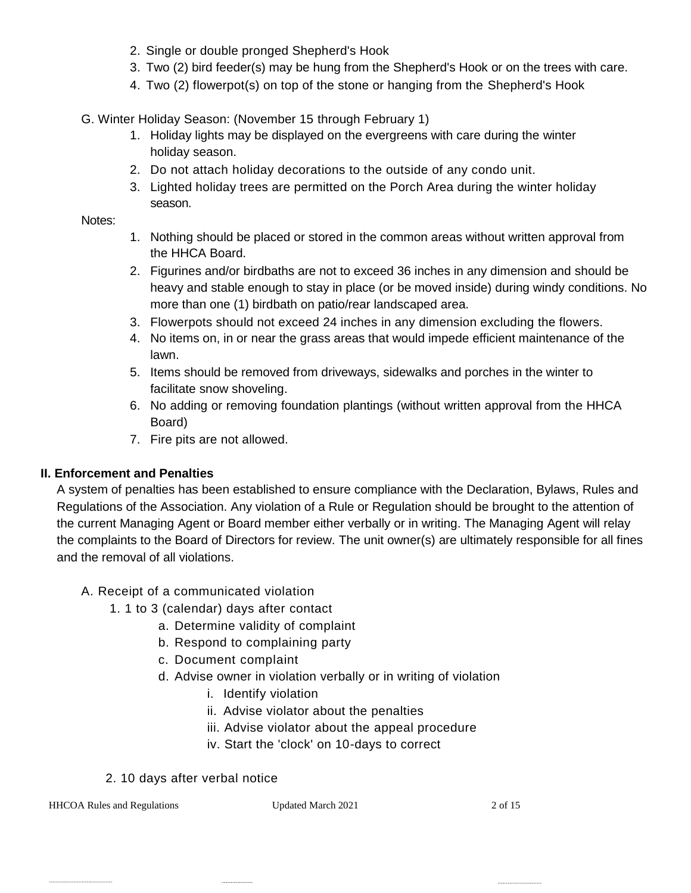- 2. Single or double pronged Shepherd's Hook
- 3. Two (2) bird feeder(s) may be hung from the Shepherd's Hook or on the trees with care.
- 4. Two (2) flowerpot(s) on top of the stone or hanging from the Shepherd's Hook

G. Winter Holiday Season: (November 15 through February 1)

- 1. Holiday lights may be displayed on the evergreens with care during the winter holiday season.
- 2. Do not attach holiday decorations to the outside of any condo unit.
- 3. Lighted holiday trees are permitted on the Porch Area during the winter holiday season.

#### Notes:

- 1. Nothing should be placed or stored in the common areas without written approval from the HHCA Board.
- 2. Figurines and/or birdbaths are not to exceed 36 inches in any dimension and should be heavy and stable enough to stay in place (or be moved inside) during windy conditions. No more than one (1) birdbath on patio/rear landscaped area.
- 3. Flowerpots should not exceed 24 inches in any dimension excluding the flowers.
- 4. No items on, in or near the grass areas that would impede efficient maintenance of the lawn.
- 5. Items should be removed from driveways, sidewalks and porches in the winter to facilitate snow shoveling.
- 6. No adding or removing foundation plantings (without written approval from the HHCA Board)
- 7. Fire pits are not allowed.

# **II. Enforcement and Penalties**

A system of penalties has been established to ensure compliance with the Declaration, Bylaws, Rules and Regulations of the Association. Any violation of a Rule or Regulation should be brought to the attention of the current Managing Agent or Board member either verbally or in writing. The Managing Agent will relay the complaints to the Board of Directors for review. The unit owner(s) are ultimately responsible for all fines and the removal of all violations.

# A. Receipt of a communicated violation

- 1. 1 to 3 (calendar) days after contact
	- a. Determine validity of complaint
	- b. Respond to complaining party
	- c. Document complaint
	- d. Advise owner in violation verbally or in writing of violation
		- i. Identify violation
		- ii. Advise violator about the penalties
		- iii. Advise violator about the appeal procedure
		- iv. Start the 'clock' on 10-days to correct
- 2. 10 days after verbal notice

HHCOA Rules and Regulations Updated March 2021 2 of 15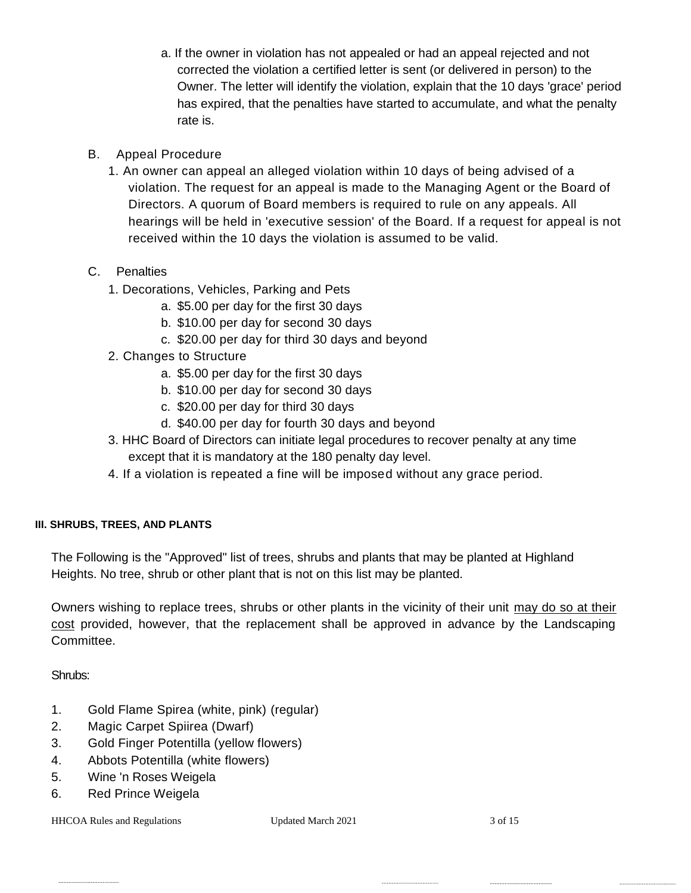- a. If the owner in violation has not appealed or had an appeal rejected and not corrected the violation a certified letter is sent (or delivered in person) to the Owner. The letter will identify the violation, explain that the 10 days 'grace' period has expired, that the penalties have started to accumulate, and what the penalty rate is.
- B. Appeal Procedure
	- 1. An owner can appeal an alleged violation within 10 days of being advised of a violation. The request for an appeal is made to the Managing Agent or the Board of Directors. A quorum of Board members is required to rule on any appeals. All hearings will be held in 'executive session' of the Board. If a request for appeal is not received within the 10 days the violation is assumed to be valid.
- C. Penalties
	- 1. Decorations, Vehicles, Parking and Pets
		- a. \$5.00 per day for the first 30 days
		- b. \$10.00 per day for second 30 days
		- c. \$20.00 per day for third 30 days and beyond
	- 2. Changes to Structure
		- a. \$5.00 per day for the first 30 days
		- b. \$10.00 per day for second 30 days
		- c. \$20.00 per day for third 30 days
		- d. \$40.00 per day for fourth 30 days and beyond
	- 3. HHC Board of Directors can initiate legal procedures to recover penalty at any time except that it is mandatory at the 180 penalty day level.
	- 4. If a violation is repeated a fine will be imposed without any grace period.

# **III. SHRUBS, TREES, AND PLANTS**

The Following is the "Approved" list of trees, shrubs and plants that may be planted at Highland Heights. No tree, shrub or other plant that is not on this list may be planted.

Owners wishing to replace trees, shrubs or other plants in the vicinity of their unit may do so at their cost provided, however, that the replacement shall be approved in advance by the Landscaping Committee.

Shrubs:

- 1. Gold Flame Spirea (white, pink) (regular)
- 2. Magic Carpet Spiirea (Dwarf)
- 3. Gold Finger Potentilla (yellow flowers)
- 4. Abbots Potentilla (white flowers)
- 5. Wine 'n Roses Weigela
- 6. Red Prince Weigela

HHCOA Rules and Regulations Updated March 2021 3 of 15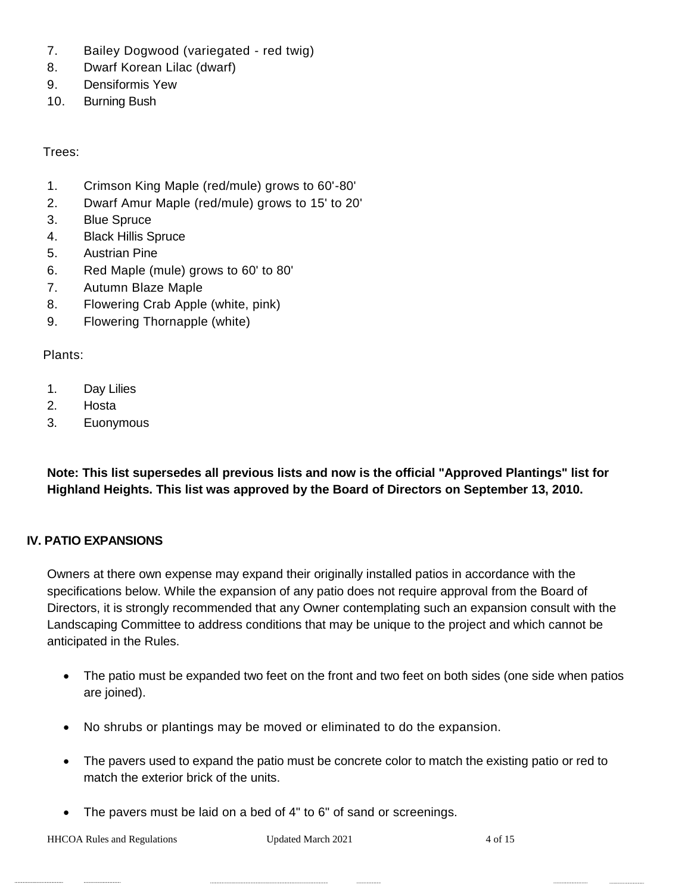- 7. Bailey Dogwood (variegated red twig)
- 8. Dwarf Korean Lilac (dwarf)
- 9. Densiformis Yew
- 10. Burning Bush

Trees:

- 1. Crimson King Maple (red/mule) grows to 60'-80'
- 2. Dwarf Amur Maple (red/mule) grows to 15' to 20'
- 3. Blue Spruce
- 4. Black Hillis Spruce
- 5. Austrian Pine
- 6. Red Maple (mule) grows to 60' to 80'
- 7. Autumn Blaze Maple
- 8. Flowering Crab Apple (white, pink)
- 9. Flowering Thornapple (white)

Plants:

- 1. Day Lilies
- 2. Hosta
- 3. Euonymous

**Note: This list supersedes all previous lists and now is the official "Approved Plantings" list for Highland Heights. This list was approved by the Board of Directors on September 13, 2010.**

# **IV. PATIO EXPANSIONS**

Owners at there own expense may expand their originally installed patios in accordance with the specifications below. While the expansion of any patio does not require approval from the Board of Directors, it is strongly recommended that any Owner contemplating such an expansion consult with the Landscaping Committee to address conditions that may be unique to the project and which cannot be anticipated in the Rules.

- The patio must be expanded two feet on the front and two feet on both sides (one side when patios are joined).
- No shrubs or plantings may be moved or eliminated to do the expansion.
- The pavers used to expand the patio must be concrete color to match the existing patio or red to match the exterior brick of the units.
- The pavers must be laid on a bed of 4" to 6" of sand or screenings.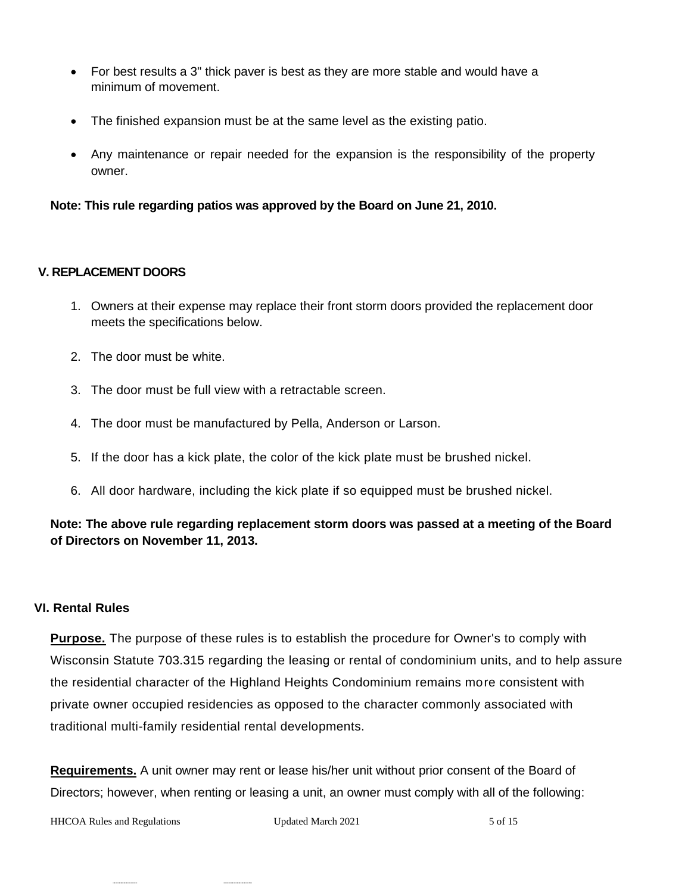- For best results a 3" thick paver is best as they are more stable and would have a minimum of movement.
- The finished expansion must be at the same level as the existing patio.
- Any maintenance or repair needed for the expansion is the responsibility of the property owner.

#### **Note: This rule regarding patios was approved by the Board on June 21, 2010.**

#### **V. REPLACEMENT DOORS**

- 1. Owners at their expense may replace their front storm doors provided the replacement door meets the specifications below.
- 2. The door must be white.
- 3. The door must be full view with a retractable screen.
- 4. The door must be manufactured by Pella, Anderson or Larson.
- 5. If the door has a kick plate, the color of the kick plate must be brushed nickel.
- 6. All door hardware, including the kick plate if so equipped must be brushed nickel.

## **Note: The above rule regarding replacement storm doors was passed at a meeting of the Board of Directors on November 11, 2013.**

#### **VI. Rental Rules**

**Purpose.** The purpose of these rules is to establish the procedure for Owner's to comply with Wisconsin Statute 703.315 regarding the leasing or rental of condominium units, and to help assure the residential character of the Highland Heights Condominium remains more consistent with private owner occupied residencies as opposed to the character commonly associated with traditional multi-family residential rental developments.

**Requirements.** A unit owner may rent or lease his/her unit without prior consent of the Board of Directors; however, when renting or leasing a unit, an owner must comply with all of the following:

HHCOA Rules and Regulations The Updated March 2021 5 of 15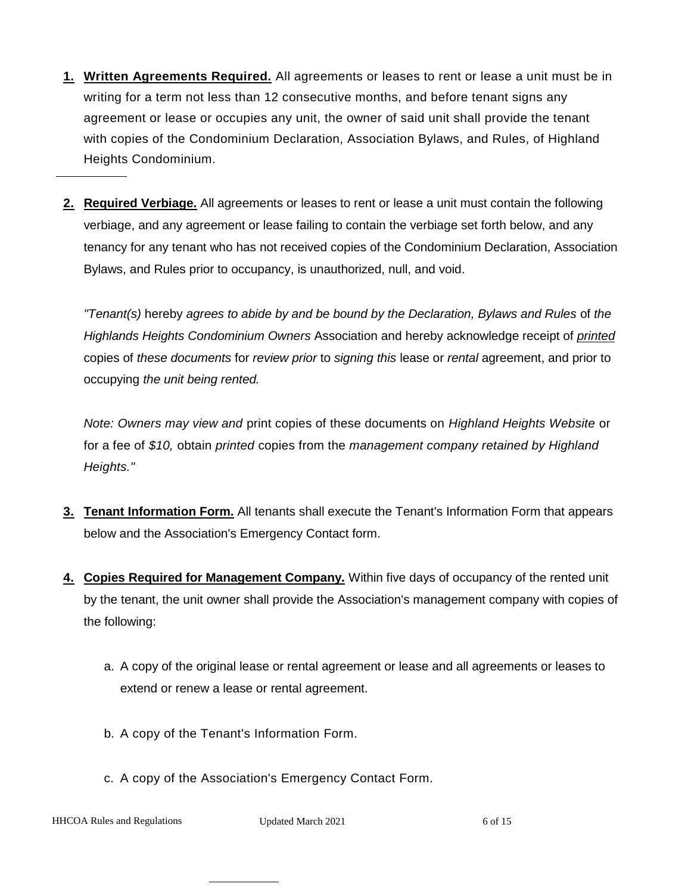- **1. Written Agreements Required.** All agreements or leases to rent or lease a unit must be in writing for a term not less than 12 consecutive months, and before tenant signs any agreement or lease or occupies any unit, the owner of said unit shall provide the tenant with copies of the Condominium Declaration, Association Bylaws, and Rules, of Highland Heights Condominium.
- **2. Required Verbiage.** All agreements or leases to rent or lease a unit must contain the following verbiage, and any agreement or lease failing to contain the verbiage set forth below, and any tenancy for any tenant who has not received copies of the Condominium Declaration, Association Bylaws, and Rules prior to occupancy, is unauthorized, null, and void.

*"Tenant(s)* hereby *agrees to abide by and be bound by the Declaration, Bylaws and Rules* of *the Highlands Heights Condominium Owners* Association and hereby acknowledge receipt of *printed* copies of *these documents* for *review prior* to *signing this* lease or *rental* agreement, and prior to occupying *the unit being rented.*

*Note: Owners may view and* print copies of these documents on *Highland Heights Website* or for a fee of *\$10,* obtain *printed* copies from the *management company retained by Highland Heights."*

- **3. Tenant Information Form.** All tenants shall execute the Tenant's Information Form that appears below and the Association's Emergency Contact form.
- **4. Copies Required for Management Company.** Within five days of occupancy of the rented unit by the tenant, the unit owner shall provide the Association's management company with copies of the following:
	- a. A copy of the original lease or rental agreement or lease and all agreements or leases to extend or renew a lease or rental agreement.
	- b. A copy of the Tenant's Information Form.
	- c. A copy of the Association's Emergency Contact Form.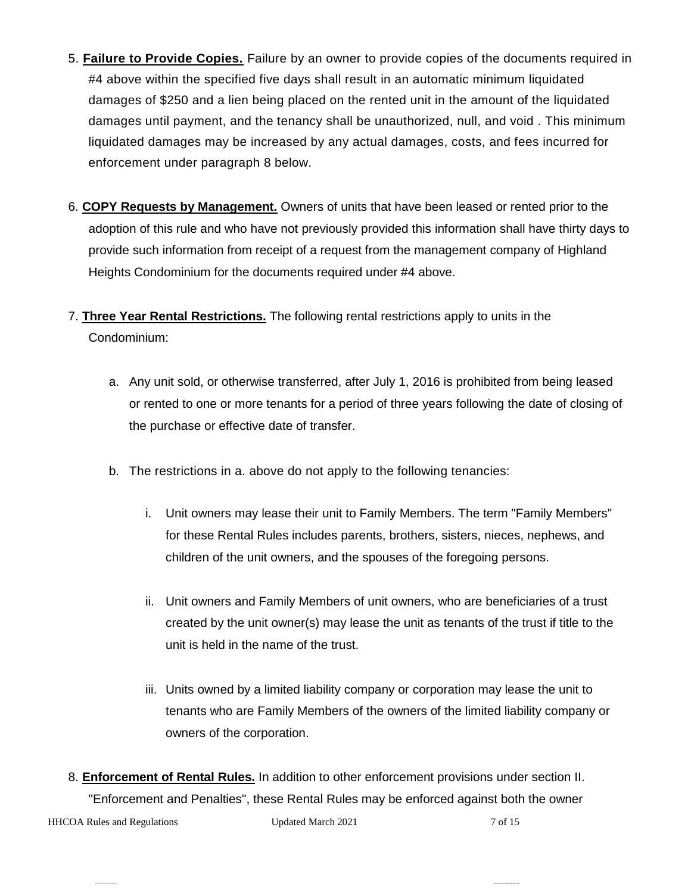- 5. **Failure to Provide Copies.** Failure by an owner to provide copies of the documents required in #4 above within the specified five days shall result in an automatic minimum liquidated damages of \$250 and a lien being placed on the rented unit in the amount of the liquidated damages until payment, and the tenancy shall be unauthorized, null, and void . This minimum liquidated damages may be increased by any actual damages, costs, and fees incurred for enforcement under paragraph 8 below.
- 6. **COPY Requests by Management.** Owners of units that have been leased or rented prior to the adoption of this rule and who have not previously provided this information shall have thirty days to provide such information from receipt of a request from the management company of Highland Heights Condominium for the documents required under #4 above.
- 7. **Three Year Rental Restrictions.** The following rental restrictions apply to units in the Condominium:
	- a. Any unit sold, or otherwise transferred, after July 1, 2016 is prohibited from being leased or rented to one or more tenants for a period of three years following the date of closing of the purchase or effective date of transfer.
	- b. The restrictions in a. above do not apply to the following tenancies:
		- i. Unit owners may lease their unit to Family Members. The term "Family Members" for these Rental Rules includes parents, brothers, sisters, nieces, nephews, and children of the unit owners, and the spouses of the foregoing persons.
		- ii. Unit owners and Family Members of unit owners, who are beneficiaries of a trust created by the unit owner(s) may lease the unit as tenants of the trust if title to the unit is held in the name of the trust.
		- iii. Units owned by a limited liability company or corporation may lease the unit to tenants who are Family Members of the owners of the limited liability company or owners of the corporation.
- 8. **Enforcement of Rental Rules.** In addition to other enforcement provisions under section II. "Enforcement and Penalties", these Rental Rules may be enforced against both the owner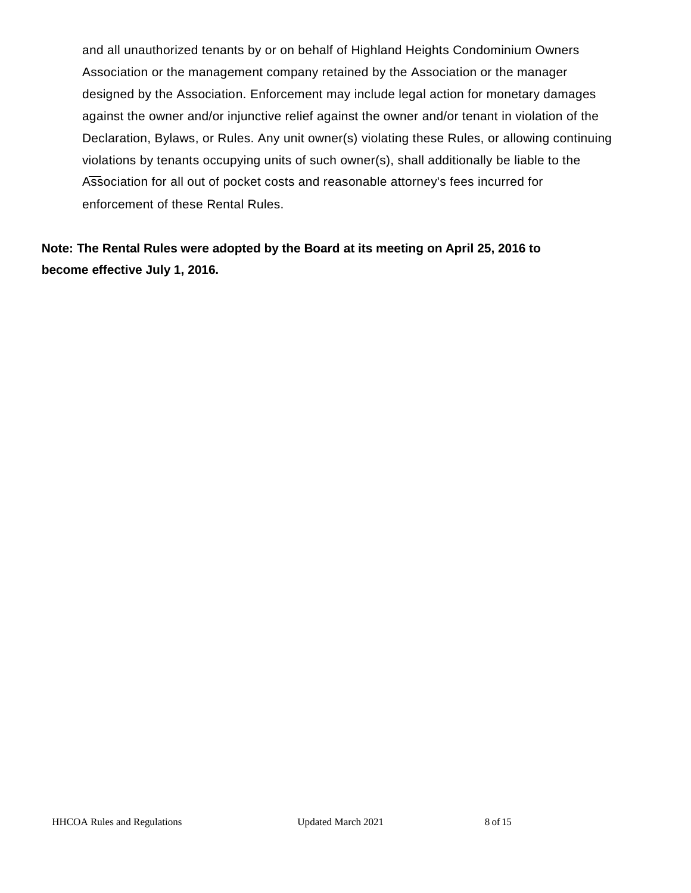and all unauthorized tenants by or on behalf of Highland Heights Condominium Owners Association or the management company retained by the Association or the manager designed by the Association. Enforcement may include legal action for monetary damages against the owner and/or injunctive relief against the owner and/or tenant in violation of the Declaration, Bylaws, or Rules. Any unit owner(s) violating these Rules, or allowing continuing violations by tenants occupying units of such owner(s), shall additionally be liable to the Association for all out of pocket costs and reasonable attorney's fees incurred for enforcement of these Rental Rules.

**Note: The Rental Rules were adopted by the Board at its meeting on April 25, 2016 to become effective July 1, 2016.**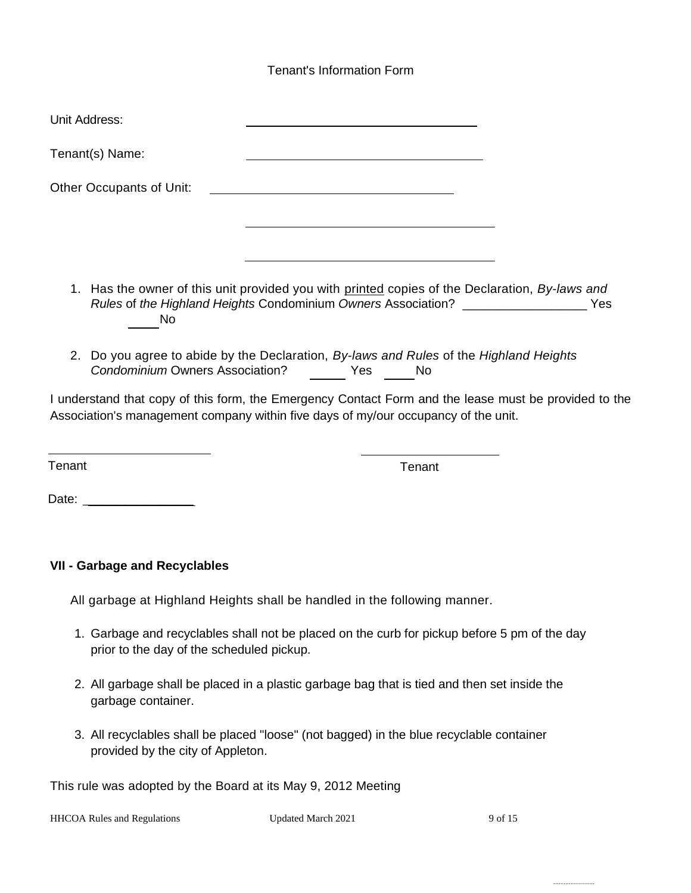# Tenant's Information Form

| Unit Address:             |                                                                                                                                                                                               |  |
|---------------------------|-----------------------------------------------------------------------------------------------------------------------------------------------------------------------------------------------|--|
| Tenant(s) Name:           | the control of the control of the control of the control of the control of the control of the control of the control of                                                                       |  |
| Other Occupants of Unit:  |                                                                                                                                                                                               |  |
|                           |                                                                                                                                                                                               |  |
|                           |                                                                                                                                                                                               |  |
| No                        | 1. Has the owner of this unit provided you with printed copies of the Declaration, By-laws and<br>Rules of the Highland Heights Condominium Owners Association? __________________________Yes |  |
|                           | 2. Do you agree to abide by the Declaration, By-laws and Rules of the Highland Heights<br>Condominium Owners Association? The State Mo                                                        |  |
|                           | I understand that copy of this form, the Emergency Contact Form and the lease must be provided to the<br>Association's management company within five days of my/our occupancy of the unit.   |  |
| Tenant                    | Tenant                                                                                                                                                                                        |  |
| Date: ___________________ |                                                                                                                                                                                               |  |
|                           |                                                                                                                                                                                               |  |

# **VII - Garbage and Recyclables**

All garbage at Highland Heights shall be handled in the following manner.

- 1. Garbage and recyclables shall not be placed on the curb for pickup before 5 pm of the day prior to the day of the scheduled pickup.
- 2. All garbage shall be placed in a plastic garbage bag that is tied and then set inside the garbage container.
- 3. All recyclables shall be placed "loose" (not bagged) in the blue recyclable container provided by the city of Appleton.

This rule was adopted by the Board at its May 9, 2012 Meeting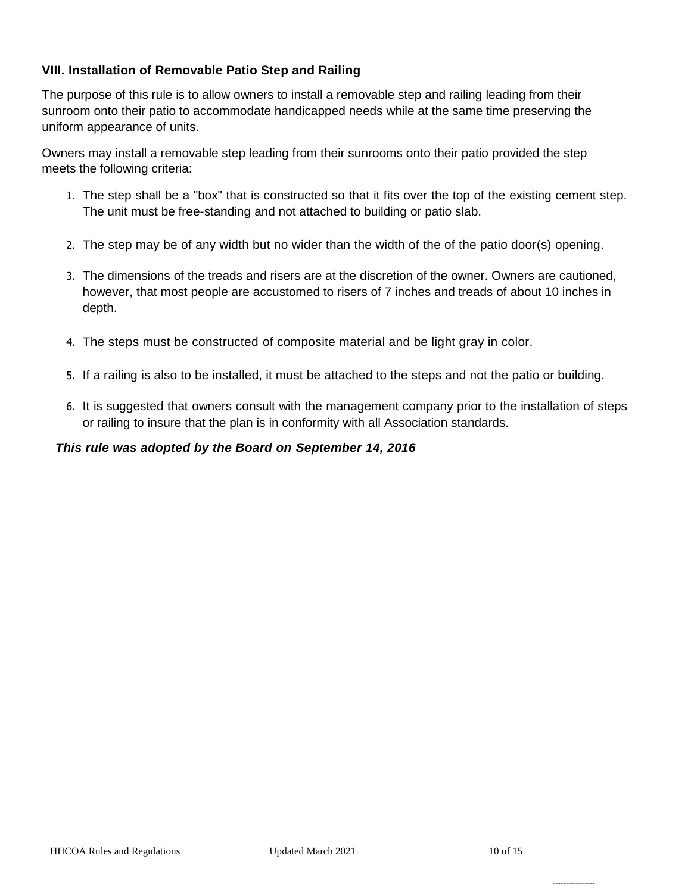## **VIII. Installation of Removable Patio Step and Railing**

The purpose of this rule is to allow owners to install a removable step and railing leading from their sunroom onto their patio to accommodate handicapped needs while at the same time preserving the uniform appearance of units.

Owners may install a removable step leading from their sunrooms onto their patio provided the step meets the following criteria:

- 1. The step shall be a "box" that is constructed so that it fits over the top of the existing cement step. The unit must be free-standing and not attached to building or patio slab.
- 2. The step may be of any width but no wider than the width of the of the patio door(s) opening.
- 3. The dimensions of the treads and risers are at the discretion of the owner. Owners are cautioned, however, that most people are accustomed to risers of 7 inches and treads of about 10 inches in depth.
- 4. The steps must be constructed of composite material and be light gray in color.
- 5. If a railing is also to be installed, it must be attached to the steps and not the patio or building.
- 6. It is suggested that owners consult with the management company prior to the installation of steps or railing to insure that the plan is in conformity with all Association standards.

#### *This rule was adopted by the Board on September 14, 2016*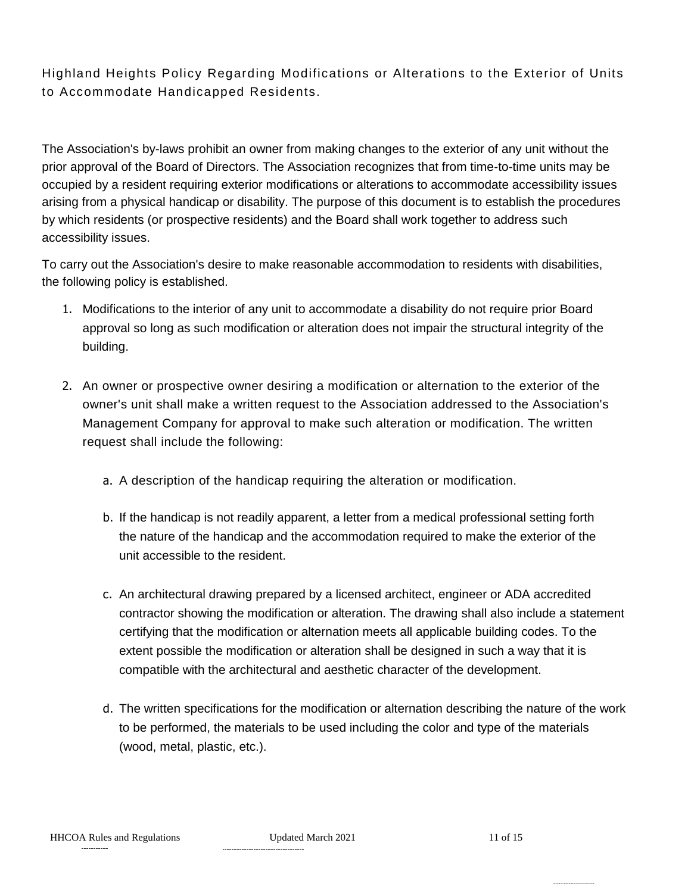Highland Heights Policy Regarding Modifications or Alterations to the Exterior of Units to Accommodate Handicapped Residents.

The Association's by-laws prohibit an owner from making changes to the exterior of any unit without the prior approval of the Board of Directors. The Association recognizes that from time-to-time units may be occupied by a resident requiring exterior modifications or alterations to accommodate accessibility issues arising from a physical handicap or disability. The purpose of this document is to establish the procedures by which residents (or prospective residents) and the Board shall work together to address such accessibility issues.

To carry out the Association's desire to make reasonable accommodation to residents with disabilities, the following policy is established.

- 1. Modifications to the interior of any unit to accommodate a disability do not require prior Board approval so long as such modification or alteration does not impair the structural integrity of the building.
- 2. An owner or prospective owner desiring a modification or alternation to the exterior of the owner's unit shall make a written request to the Association addressed to the Association's Management Company for approval to make such alteration or modification. The written request shall include the following:
	- a. A description of the handicap requiring the alteration or modification.
	- b. If the handicap is not readily apparent, a letter from a medical professional setting forth the nature of the handicap and the accommodation required to make the exterior of the unit accessible to the resident.
	- c. An architectural drawing prepared by a licensed architect, engineer or ADA accredited contractor showing the modification or alteration. The drawing shall also include a statement certifying that the modification or alternation meets all applicable building codes. To the extent possible the modification or alteration shall be designed in such a way that it is compatible with the architectural and aesthetic character of the development.
	- d. The written specifications for the modification or alternation describing the nature of the work to be performed, the materials to be used including the color and type of the materials (wood, metal, plastic, etc.).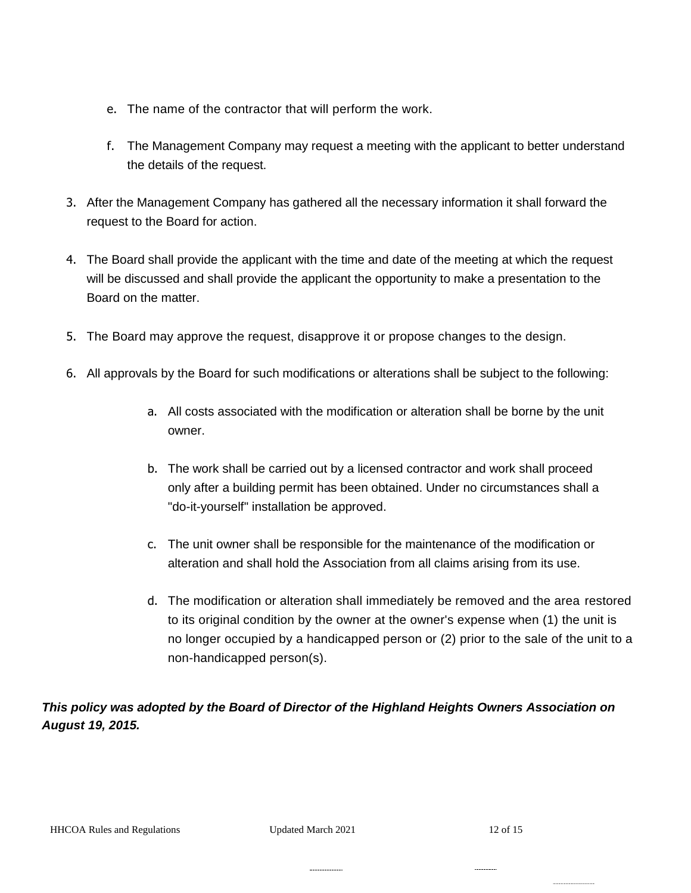- e. The name of the contractor that will perform the work.
- f. The Management Company may request a meeting with the applicant to better understand the details of the request.
- 3. After the Management Company has gathered all the necessary information it shall forward the request to the Board for action.
- 4. The Board shall provide the applicant with the time and date of the meeting at which the request will be discussed and shall provide the applicant the opportunity to make a presentation to the Board on the matter.
- 5. The Board may approve the request, disapprove it or propose changes to the design.
- 6. All approvals by the Board for such modifications or alterations shall be subject to the following:
	- a. All costs associated with the modification or alteration shall be borne by the unit owner.
	- b. The work shall be carried out by a licensed contractor and work shall proceed only after a building permit has been obtained. Under no circumstances shall a "do-it-yourself" installation be approved.
	- c. The unit owner shall be responsible for the maintenance of the modification or alteration and shall hold the Association from all claims arising from its use.
	- d. The modification or alteration shall immediately be removed and the area restored to its original condition by the owner at the owner's expense when (1) the unit is no longer occupied by a handicapped person or (2) prior to the sale of the unit to a non-handicapped person(s).

# *This policy was adopted by the Board of Director of the Highland Heights Owners Association on August 19, 2015.*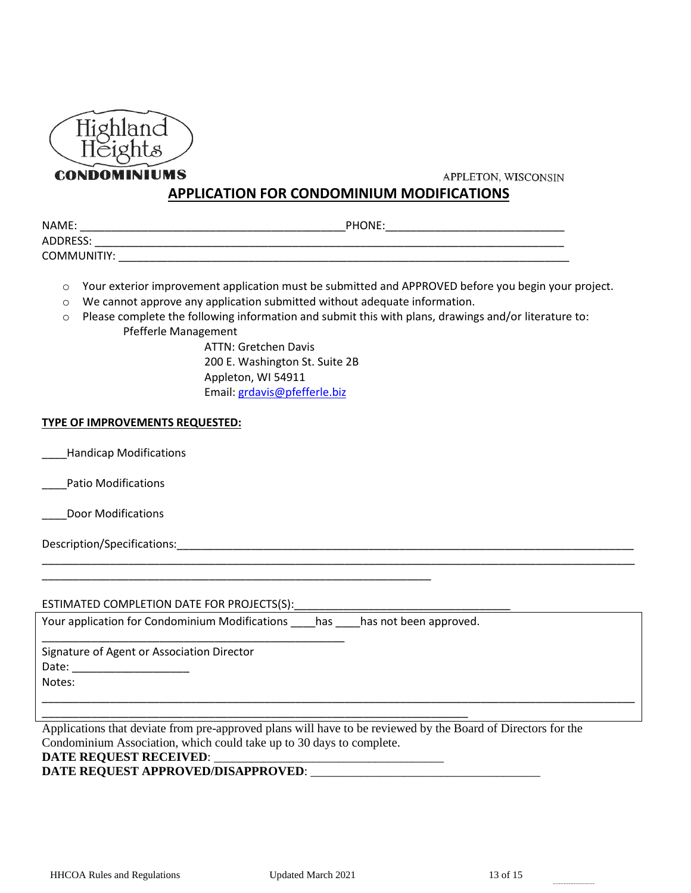

**CONDOMINIUMS** 

APPLETON, WISCONSIN

## **APPLICATION FOR CONDOMINIUM MODIFICATIONS**

| NAME:       | PHONE: |
|-------------|--------|
| ADDRESS:    |        |
| COMMUNITIY: |        |

o Your exterior improvement application must be submitted and APPROVED before you begin your project.

\_\_\_\_\_\_\_\_\_\_\_\_\_\_\_\_\_\_\_\_\_\_\_\_\_\_\_\_\_\_\_\_\_\_\_\_\_\_\_\_\_\_\_\_\_\_\_\_\_\_\_\_\_\_\_\_\_\_\_\_\_\_\_\_\_\_\_\_\_\_\_\_\_\_\_\_\_\_\_\_\_\_\_\_\_\_\_\_\_\_\_\_\_\_\_\_

\_\_\_\_\_\_\_\_\_\_\_\_\_\_\_\_\_\_\_\_\_\_\_\_\_\_\_\_\_\_\_\_\_\_\_\_\_\_\_\_\_\_\_\_\_\_\_\_\_\_\_\_\_\_\_\_\_\_\_\_\_\_\_\_\_\_\_\_\_\_\_\_\_\_\_\_\_\_\_\_\_\_\_\_\_\_\_\_\_\_\_\_\_\_\_\_

- o We cannot approve any application submitted without adequate information.
- o Please complete the following information and submit this with plans, drawings and/or literature to: Pfefferle Management

ATTN: Gretchen Davis 200 E. Washington St. Suite 2B Appleton, WI 54911 Email: [grdavis@pfefferle.biz](mailto:grdavis@pfefferle.biz)

#### **TYPE OF IMPROVEMENTS REQUESTED:**

\_\_\_\_Handicap Modifications

\_\_\_\_Patio Modifications

\_\_\_\_Door Modifications

Description/Specifications:\_\_\_\_\_\_\_\_\_\_\_\_\_\_\_\_\_\_\_\_\_\_\_\_\_\_\_\_\_\_\_\_\_\_\_\_\_\_\_\_\_\_\_\_\_\_\_\_\_\_\_\_\_\_\_\_\_\_\_\_\_\_\_\_\_\_\_\_\_\_\_\_\_\_

#### ESTIMATED COMPLETION DATE FOR PROJECTS(S):

Your application for Condominium Modifications has has not been approved.

\_\_\_\_\_\_\_\_\_\_\_\_\_\_\_\_\_\_\_\_\_\_\_\_\_\_\_\_\_\_\_\_\_\_\_\_\_\_\_\_\_\_\_\_\_\_\_\_\_\_\_\_\_\_\_\_\_\_\_\_\_\_\_\_\_\_\_\_\_

\_\_\_\_\_\_\_\_\_\_\_\_\_\_\_\_\_\_\_\_\_\_\_\_\_\_\_\_\_\_\_\_\_\_\_\_\_\_\_\_\_\_\_\_\_\_\_\_\_\_\_\_\_\_\_\_\_\_\_\_\_\_\_

\_\_\_\_\_\_\_\_\_\_\_\_\_\_\_\_\_\_\_\_\_\_\_\_\_\_\_\_\_\_\_\_\_\_\_\_\_\_\_\_\_\_\_\_\_\_\_\_\_ Signature of Agent or Association Director Date: \_\_\_\_\_\_\_\_\_\_\_\_\_\_\_\_\_\_\_

Notes:

Applications that deviate from pre-approved plans will have to be reviewed by the Board of Directors for the Condominium Association, which could take up to 30 days to complete. **DATE REQUEST RECEIVED: \_** 

#### **DATE REQUEST APPROVED/DISAPPROVED**: \_\_\_\_\_\_\_\_\_\_\_\_\_\_\_\_\_\_\_\_\_\_\_\_\_\_\_\_\_\_\_\_\_\_\_\_\_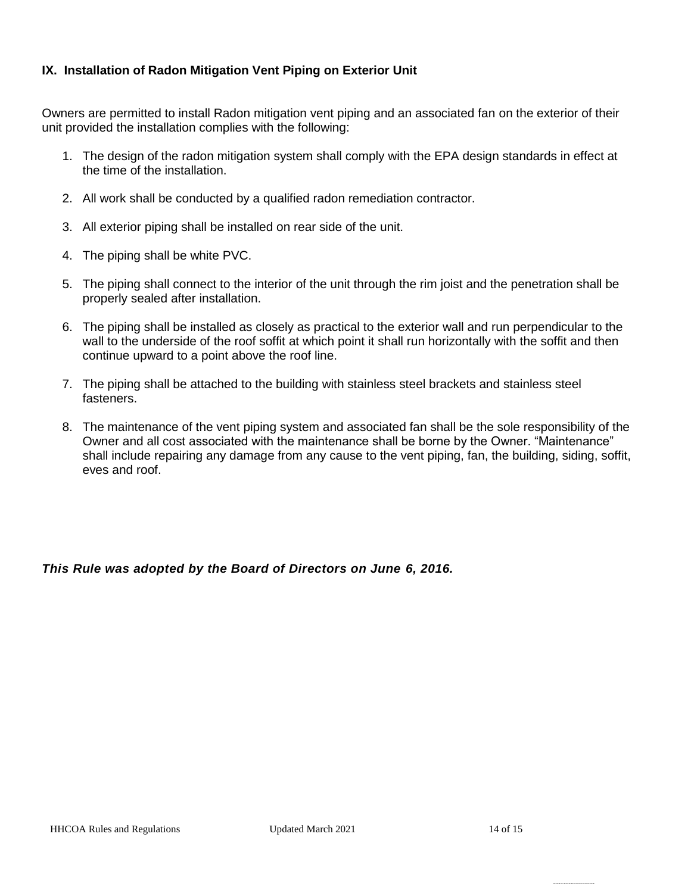## **IX. Installation of Radon Mitigation Vent Piping on Exterior Unit**

Owners are permitted to install Radon mitigation vent piping and an associated fan on the exterior of their unit provided the installation complies with the following:

- 1. The design of the radon mitigation system shall comply with the EPA design standards in effect at the time of the installation.
- 2. All work shall be conducted by a qualified radon remediation contractor.
- 3. All exterior piping shall be installed on rear side of the unit.
- 4. The piping shall be white PVC.
- 5. The piping shall connect to the interior of the unit through the rim joist and the penetration shall be properly sealed after installation.
- 6. The piping shall be installed as closely as practical to the exterior wall and run perpendicular to the wall to the underside of the roof soffit at which point it shall run horizontally with the soffit and then continue upward to a point above the roof line.
- 7. The piping shall be attached to the building with stainless steel brackets and stainless steel fasteners.
- 8. The maintenance of the vent piping system and associated fan shall be the sole responsibility of the Owner and all cost associated with the maintenance shall be borne by the Owner. "Maintenance" shall include repairing any damage from any cause to the vent piping, fan, the building, siding, soffit, eves and roof.

*This Rule was adopted by the Board of Directors on June 6, 2016.*